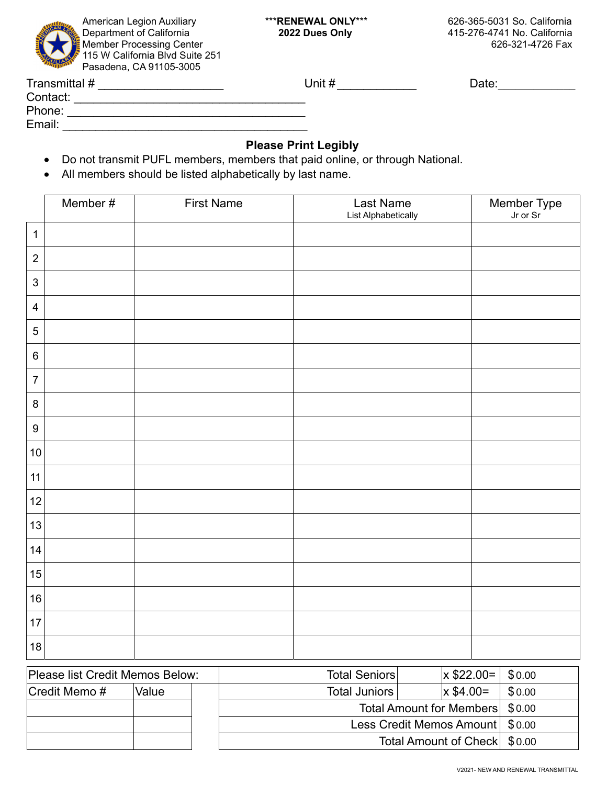

Department of California **2022 Dues Only** 415-276-4741 No. California

| Transmittal # | Jnit # | Date: |
|---------------|--------|-------|
| Contact:      |        |       |
| Phone:        |        |       |
| Email:        |        |       |
|               |        |       |

## **Please Print Legibly**

- Do not transmit PUFL members, members that paid online, or through National.
- All members should be listed alphabetically by last name.

|                  | Member # | <b>First Name</b> | Last Name<br>List Alphabetically | Member Type<br>Jr or Sr |
|------------------|----------|-------------------|----------------------------------|-------------------------|
| $\mathbf{1}$     |          |                   |                                  |                         |
| $\overline{2}$   |          |                   |                                  |                         |
| $\mathfrak{B}$   |          |                   |                                  |                         |
| $\overline{4}$   |          |                   |                                  |                         |
| $\sqrt{5}$       |          |                   |                                  |                         |
| $\,6\,$          |          |                   |                                  |                         |
| $\overline{7}$   |          |                   |                                  |                         |
| $\bf 8$          |          |                   |                                  |                         |
| $\boldsymbol{9}$ |          |                   |                                  |                         |
| $10\,$           |          |                   |                                  |                         |
| 11               |          |                   |                                  |                         |
| 12               |          |                   |                                  |                         |
| 13               |          |                   |                                  |                         |
| 14               |          |                   |                                  |                         |
| 15               |          |                   |                                  |                         |
| 16               |          |                   |                                  |                         |
| 17               |          |                   |                                  |                         |
| 18               |          |                   |                                  |                         |

| Please list Credit Memos Below: |       | <b>Total Seniors</b>              |                                 | $x$ \$22.00 = | \$0.00 |
|---------------------------------|-------|-----------------------------------|---------------------------------|---------------|--------|
| Credit Memo#                    | Value | Total Juniors                     |                                 | $x$ \$4.00=   | \$0.00 |
|                                 |       |                                   | Total Amount for Members \$0.00 |               |        |
|                                 |       | Less Credit Memos Amount   \$0.00 |                                 |               |        |
| Total Amount of Check \\$0.00   |       |                                   |                                 |               |        |